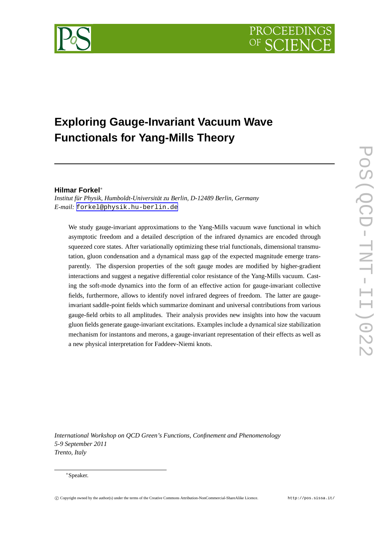

# **Exploring Gauge-Invariant Vacuum Wave Functionals for Yang-Mills Theory**

# **Hilmar Forkel**∗

*Institut für Physik, Humboldt-Universität zu Berlin, D-12489 Berlin, Germany E-mail:* [forkel@physik.hu-berlin.de](mailto:forkel@physik.hu-berlin.de)

We study gauge-invariant approximations to the Yang-Mills vacuum wave functional in which asymptotic freedom and a detailed description of the infrared dynamics are encoded through squeezed core states. After variationally optimizing these trial functionals, dimensional transmutation, gluon condensation and a dynamical mass gap of the expected magnitude emerge transparently. The dispersion properties of the soft gauge modes are modified by higher-gradient interactions and suggest a negative differential color resistance of the Yang-Mills vacuum. Casting the soft-mode dynamics into the form of an effective action for gauge-invariant collective fields, furthermore, allows to identify novel infrared degrees of freedom. The latter are gaugeinvariant saddle-point fields which summarize dominant and universal contributions from various gauge-field orbits to all amplitudes. Their analysis provides new insights into how the vacuum gluon fields generate gauge-invariant excitations. Examples include a dynamical size stabilization mechanism for instantons and merons, a gauge-invariant representation of their effects as well as a new physical interpretation for Faddeev-Niemi knots.

*International Workshop on QCD Green's Functions, Confinement and Phenomenology 5-9 September 2011 Trento, Italy*

#### ∗Speaker.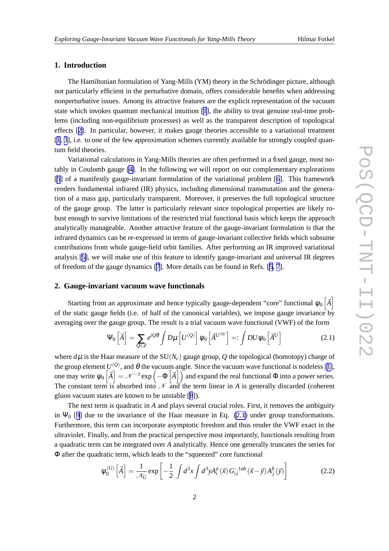# <span id="page-1-0"></span>**1. Introduction**

The Hamiltonian formulation of Yang-Mills (YM) theory in the Schrödinger picture, although not particularly efficient in the perturbative domain, offers considerable benefits when addressing nonperturbative issues. Among its attractive features are the explicit representation of the vacuum state which invokes quantum mechanical intuition [[1](#page-11-0)], the ability to treat genuine real-time problems (including non-equilibrium processes) as well as the transparent description of topological effects [[2](#page-12-0)]. In particular, however, it makes gauge theories accessible to a variational treatment [[1](#page-11-0), [3](#page-12-0)], i.e. to one of the few approximation schemes currently available for strongly coupled quantum field theories.

Variational calculations in Yang-Mills theories are often performed in a fixed gauge, most notably in Coulomb gauge [\[4\]](#page-12-0). In the following we will report on our complementary explorations [[5](#page-12-0)] of a manifestly gauge-invariant formulation of the variational problem [[6](#page-12-0)]. This framework renders fundamental infrared (IR) physics, including dimensional transmutation and the generation of a mass gap, particularly transparent. Moreover, it preserves the full topological structure of the gauge group. The latter is particularly relevant since topological properties are likely robust enough to survive limitations of the restricted trial functional basis which keeps the approach analytically manageable. Another attractive feature of the gauge-invariant formulation is that the infrared dynamics can be re-expressed in terms of gauge-invariant collective fields which subsume contributions from whole gauge-field orbit families. After performing an IR improved variational analysis [\[5\]](#page-12-0), we will make use of this feature to identify gauge-invariant and universal IR degrees of freedom of the gauge dynamics [\[7](#page-12-0)]. More details can be found in Refs. [[5](#page-12-0), [7](#page-12-0)].

#### **2. Gauge-invariant vacuum wave functionals**

Starting from an approximate and hence typically gauge-dependent "core" functional  $\psi_0\left[\vec{A}\right]$ of the static gauge fields (i.e. of half of the canonical variables), we impose gauge invariance by averaging over the gauge group. The result is a trial vacuum wave functional (VWF) of the form

$$
\Psi_0\left[\vec{A}\right] = \sum_{Q \in Z} e^{iQ\theta} \int D\mu \left[U^{(Q)}\right] \Psi_0\left[\vec{A}^{U^{(Q)}}\right] =: \int DU \Psi_0\left[\vec{A}^U\right]
$$
\n(2.1)

where  $d\mu$  is the Haar measure of the SU( $N_c$ ) gauge group, Q the topological (homotopy) charge of the group element  $U^{(Q)}$ , and  $\theta$  the vacuum angle. Since the vacuum wave functional is nodeless [\[1\]](#page-11-0), one may write  $\psi_0\left[\vec{A}\right] = \mathcal{N}^{-1} \exp\left(-\Phi\left[\vec{A}\right]\right)$  and expand the real functional  $\Phi$  into a power series. The constant term is absorbed into  $N$  and the term linear in *A* is generally discarded (coherent gluon vacuum states are known to be unstable [\[8](#page-12-0)]).

The next term is quadratic in *A* and plays several crucial roles. First, it removes the ambiguity in  $\Psi_0$  [[9\]](#page-12-0) due to the invariance of the Haar measure in Eq. (2.1) under group transformations. Furthermore, this term can incorporate asymptotic freedom and thus render the VWF exact in the ultraviolet. Finally, and from the practical perspective most importantly, functionals resulting from a quadratic term can be integrated over *A* analytically. Hence one generally truncates the series for Φ after the quadratic term, which leads to the "squeezed" core functional

$$
\psi_0^{(G)}\left[\vec{A}\right] = \frac{1}{\mathcal{N}_G} \exp\left[-\frac{1}{2} \int d^3x \int d^3y A_i^a(\vec{x}) G_{ij}^{-1ab}(\vec{x} - \vec{y}) A_j^b(\vec{y})\right]
$$
(2.2)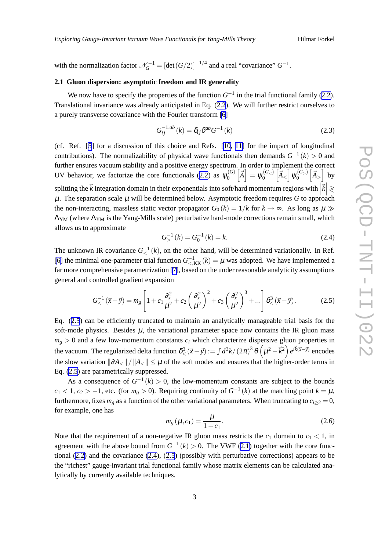<span id="page-2-0"></span>with the normalization factor  $\mathcal{N}_G^{-1} = [\det(G/2)]^{-1/4}$  and a real "covariance"  $G^{-1}$ .

# **2.1 Gluon dispersion: asymptotic freedom and IR generality**

We now have to specify the properties of the function  $G^{-1}$  in the trial functional family ([2.2\)](#page-1-0). Translational invariance was already anticipated in Eq. ([2.2](#page-1-0)). We will further restrict ourselves to a purely transverse covariance with the Fourier transform [\[6\]](#page-12-0)

$$
G_{ij}^{-1,ab}(k) = \delta_{ij}\delta^{ab}G^{-1}(k)
$$
\n(2.3)

(cf. Ref. [[5](#page-12-0)] for a discussion of this choice and Refs. [[10, 11\]](#page-12-0) for the impact of longitudinal contributions). The normalizability of physical wave functionals then demands  $G^{-1}(k) > 0$  and further ensures vacuum stability and a positive energy spectrum. In order to implement the correct UV behavior, we factorize the core functionals ([2.2](#page-1-0)) as  $\psi_0^{(G)}$  $\mathbb{E}_{0}^{(G)}\left[\vec{A}\right]=\mathbb{\psi}_{0}^{(G_{<})}$  $\left[\vec{A}_<\right]\psi_0^{(G_>)}$  $\begin{bmatrix} G_{>} \\ 0 \end{bmatrix}$   $\begin{bmatrix} \vec{A} \\ \vec{A} \end{bmatrix}$  by splitting the  $\vec{k}$  integration domain in their exponentials into soft/hard momentum regions with  $\left|\vec{k}\right| \geq 0$ <br>*W*. The concretion scale *W* will be determined below. Acymptotic freedom requires *C* to engreash  $\mu$ . The separation scale  $\mu$  will be determined below. Asymptotic freedom requires *G* to approach the non-interacting, massless static vector propagator  $G_0 (k) = 1/k$  for  $k \to \infty$ . As long as  $\mu \gg$ ΛYM (where ΛYM is the Yang-Mills scale) perturbative hard-mode corrections remain small, which allows us to approximate

$$
G_{>}^{-1}(k) = G_0^{-1}(k) = k.
$$
\n(2.4)

The unknown IR covariance  $G_{<}^{-1}(k)$ , on the other hand, will be determined variationally. In Ref. [[6](#page-12-0)] the minimal one-parameter trial function  $G^{-1}_{\le K}(k) = \mu$  was adopted. We have implemented a far more comprehensive parametrization [\[7\]](#page-12-0), based on the under reasonable analyticity assumptions general and controlled gradient expansion

$$
G_{<}^{-1}(\vec{x} - \vec{y}) = m_g \left[ 1 + c_1 \frac{\partial_x^2}{\mu^2} + c_2 \left( \frac{\partial_x^2}{\mu^2} \right)^2 + c_3 \left( \frac{\partial_x^2}{\mu^2} \right)^3 + \dots \right] \delta_{<}^3 (\vec{x} - \vec{y}). \tag{2.5}
$$

Eq. (2.5) can be efficiently truncated to maintain an analytically manageable trial basis for the soft-mode physics. Besides  $\mu$ , the variational parameter space now contains the IR gluon mass  $m<sub>g</sub> > 0$  and a few low-momentum constants  $c<sub>i</sub>$  which characterize dispersive gluon properties in the vacuum. The regularized delta function  $\delta^3_<(\vec{x}-\vec{y}) := \int d^3k / (2\pi)^3 \, \theta\left(\mu^2 - \vec{k}^2\right) e^{i\vec{k}(\vec{x}-\vec{y})}$  encodes the slow variation  $\|\partial A_{\leq}\|/\|A_{\leq}\| \leq \mu$  of the soft modes and ensures that the higher-order terms in Eq. (2.5) are parametrically suppressed.

As a consequence of  $G^{-1}(k) > 0$ , the low-momentum constants are subject to the bounds  $c_1 < 1, c_2 > -1$ , etc. (for  $m_g > 0$ ). Requiring continuity of  $G^{-1}(k)$  at the matching point  $k = \mu$ , furthermore, fixes  $m_g$  as a function of the other variational parameters. When truncating to  $c_{i>2} = 0$ , for example, one has

$$
m_g(\mu, c_1) = \frac{\mu}{1 - c_1}.
$$
\n(2.6)

Note that the requirement of a non-negative IR gluon mass restricts the  $c_1$  domain to  $c_1 < 1$ , in agreement with the above bound from  $G^{-1}(k) > 0$ . The VWF ([2.1](#page-1-0)) together with the core functional [\(2.2](#page-1-0)) and the covariance (2.4), (2.5) (possibly with perturbative corrections) appears to be the "richest" gauge-invariant trial functional family whose matrix elements can be calculated analytically by currently available techniques.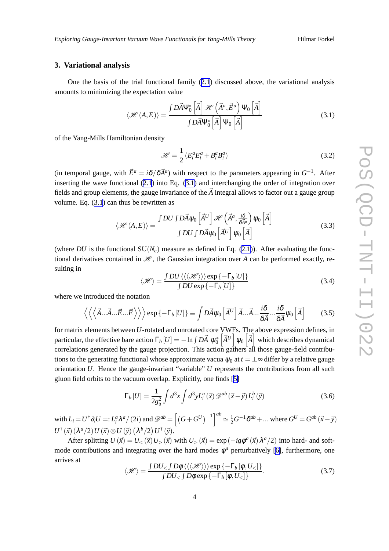## <span id="page-3-0"></span>**3. Variational analysis**

One the basis of the trial functional family ([2.1](#page-1-0)) discussed above, the variational analysis amounts to minimizing the expectation value

$$
\langle \mathcal{H}(A, E) \rangle = \frac{\int D\vec{A}\Psi_0^* \left[\vec{A}\right] \mathcal{H} \left(\vec{A}^a, \vec{E}^a\right) \Psi_0 \left[\vec{A}\right]}{\int D\vec{A}\Psi_0^* \left[\vec{A}\right] \Psi_0 \left[\vec{A}\right]} \tag{3.1}
$$

of the Yang-Mills Hamiltonian density

$$
\mathcal{H} = \frac{1}{2} \left( E_i^a E_i^a + B_i^a B_i^a \right) \tag{3.2}
$$

(in temporal gauge, with  $\vec{E}^a = i\delta/\delta \vec{A}^a$ ) with respect to the parameters appearing in  $G^{-1}$ . After inserting the wave functional ([2.1](#page-1-0)) into Eq. (3.1) and interchanging the order of integration over fields and group elements, the gauge invariance of the  $\vec{A}$  integral allows to factor out a gauge group volume. Eq. (3.1) can thus be rewritten as

$$
\langle \mathcal{H}(A, E) \rangle = \frac{\int DU \int D\vec{A} \psi_0 \left[ \vec{A}^U \right] \mathcal{H} \left( \vec{A}^a, \frac{i\delta}{\delta \vec{A}^a} \right) \psi_0 \left[ \vec{A} \right]}{\int DU \int D\vec{A} \psi_0 \left[ \vec{A}^U \right] \psi_0 \left[ \vec{A} \right]}
$$
(3.3)

(where *DU* is the functional  $SU(N_c)$  measure as defined in Eq. ([2.1](#page-1-0))). After evaluating the functional derivatives contained in  $\mathcal{H}$ , the Gaussian integration over *A* can be performed exactly, resulting in

$$
\langle \mathcal{H} \rangle = \frac{\int DU \langle \langle \langle \mathcal{H} \rangle \rangle \rangle \exp \{-\Gamma_b [U] \}}{\int DU \exp \{-\Gamma_b [U] \}}
$$
(3.4)

where we introduced the notation

$$
\left\langle \left\langle \left\langle \vec{A}...\vec{A}...\vec{E}...\vec{E}\right\rangle \right\rangle \right\rangle \exp\left\{-\Gamma_b[U]\right\} \equiv \int D\vec{A}\psi_0\left[\vec{A}^U\right]\vec{A}...\vec{A}...\frac{i\delta}{\delta\vec{A}}...\frac{i\delta}{\delta\vec{A}}\psi_0\left[\vec{A}\right]
$$
(3.5)

for matrix elements between *U*-rotated and unrotated core VWFs. The above expression defines, in particular, the effective bare action  $\Gamma_b [U] = -\ln \int D\vec{A} \; \psi_0^* \left[ \vec{A}^U \right] \psi_0 \left[ \vec{A} \right]$  which describes dynamical correlations generated by the gauge projection. This action gathers all those gauge-field contributions to the generating functional whose approximate vacua  $\psi_0$  at  $t = \pm \infty$  differ by a relative gauge orientation *U*. Hence the gauge-invariant "variable" *U* represents the contributions from all such gluon field orbits to the vacuum overlap. Explicitly, one finds [\[5\]](#page-12-0)

$$
\Gamma_b[U] = \frac{1}{2g_b^2} \int d^3x \int d^3y L_i^a(\vec{x}) \mathcal{D}^{ab}(\vec{x} - \vec{y}) L_i^b(\vec{y})
$$
\n(3.6)

with  $L_i = U^{\dagger} \partial_i U =: L_i^a \lambda^a / (2i)$  and  $\mathscr{D}^{ab} = \left[ \left( G + G^U \right)^{-1} \right]^{ab} \simeq \frac{1}{2} G^{-1} \delta^{ab} + \dots$  where  $G^U = G^{ab} (\vec{x} - \vec{y})$  $U^{\dagger}(\vec{x})\left(\lambda^a/2\right)U(\vec{x})\otimes U(\vec{y})\left(\lambda^b/2\right)U^{\dagger}(\vec{y}).$ 

After splitting  $U(\vec{x}) = U_{<} (\vec{x}) U_{>} (\vec{x})$  with  $U_{>} (\vec{x}) = \exp(-ig\phi^a(\vec{x}) \lambda^a/2)$  into hard- and softmode contributions and integrating over the hard modes  $\phi^a$  perturbatively [\[6\]](#page-12-0), furthermore, one arrives at

$$
\langle \mathcal{H} \rangle = \frac{\int DU_{<} \int D\phi \, \langle \langle \langle \mathcal{H} \rangle \rangle \rangle \exp \{ -\Gamma_b \left[ \phi, U_{<} \right] \}}{\int DU_{<} \int D\phi \exp \{ -\Gamma_b \left[ \phi, U_{<} \right] \}}.
$$
\n(3.7)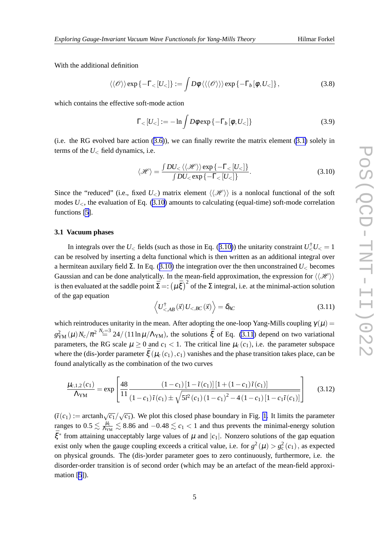<span id="page-4-0"></span>With the additional definition

$$
\langle\langle \mathscr{O}\rangle\rangle \exp\{-\Gamma_{<}[U_{<}]\} := \int D\phi \,\langle\langle\langle \mathscr{O}\rangle\rangle\rangle \exp\{-\Gamma_{b}[\phi,U_{<}]\}\,,\tag{3.8}
$$

which contains the effective soft-mode action

$$
\Gamma_{<}[U_{<}]:=-\ln\int D\phi\exp\{-\Gamma_b[\phi,U_{<}]\}\tag{3.9}
$$

(i.e. the RG evolved bare action  $(3.6)$  $(3.6)$ ), we can finally rewrite the matrix element  $(3.1)$  solely in terms of the *U*<sup>&</sup>lt; field dynamics, i.e.

$$
\langle \mathcal{H} \rangle = \frac{\int DU_{< \langle \langle \mathcal{H} \rangle \rangle \exp \{-\Gamma_{< [U_{<}]\}}}{\int DU_{<} \exp \{-\Gamma_{< [U_{<}]\}}}. \tag{3.10}
$$

Since the "reduced" (i.e., fixed  $U<sub>z</sub>$ ) matrix element  $\langle\langle\mathcal{H}\rangle\rangle$  is a nonlocal functional of the soft modes  $U_{\leq}$ , the evaluation of Eq. (3.10) amounts to calculating (equal-time) soft-mode correlation functions [\[5\]](#page-12-0).

## **3.1 Vacuum phases**

In integrals over the  $U<sub>lt</sub>$  fields (such as those in Eq. (3.10)) the unitarity constraint  $U<sub>lt</sub><sup>\dagger</sup>U<sub>lt</sub> = 1$ can be resolved by inserting a delta functional which is then written as an additional integral over a hermitean auxilary field Σ. In Eq. (3.10) the integration over the then unconstrained *U*<sup>&</sup>lt; becomes Gaussian and can be done analytically. In the mean-field approximation, the expression for  $\langle\langle \mathcal{H} \rangle\rangle$ is then evaluated at the saddle point  $\bar{\Sigma} = : (\mu \bar{\xi})^2$  of the  $\Sigma$  integral, i.e. at the minimal-action solution of the gap equation

$$
\left\langle U_{\leq AB}^{\dagger}(\vec{x}) U_{\leq BC}(\vec{x}) \right\rangle = \delta_{AC}
$$
\n(3.11)

which reintroduces unitarity in the mean. After adopting the one-loop Yang-Mills coupling  $\gamma(\mu)$  =  $g_{\text{YM}}^2(\mu) N_c/\pi^{2N_c=3}_{\text{m}} 24/(11 \ln \mu/\Lambda_{\text{YM}})$ , the solutions  $\bar{\xi}$  of Eq. (3.11) depend on two variational parameters, the RG scale  $\mu \ge 0$  and  $c_1 < 1$ . The critical line  $\mu_c(c_1)$ , i.e. the parameter subspace where the (dis-)order parameter  $\bar{\xi}$  ( $\mu_c$  ( $c_1$ ),  $c_1$ ) vanishes and the phase transition takes place, can be found analytically as the combination of the two curves

$$
\frac{\mu_{c,1,2}(c_1)}{\Lambda_{\text{YM}}} = \exp\left[\frac{48}{11} \frac{(1-c_1)[1-\tilde{\imath}(c_1)][1+(1-c_1)\tilde{\imath}(c_1)]}{(1-c_1)\tilde{\imath}(c_1)\pm\sqrt{5\tilde{\imath}^2(c_1)(1-c_1)^2-4(1-c_1)[1-c_1\tilde{\imath}(c_1)]}}\right] \tag{3.12}
$$

 $(\tilde{\iota}(c_1) := \operatorname{arctanh}\sqrt{c_1}/\sqrt{c_1}$ . We plot this closed phase boundary in Fig. [1.](#page-5-0) It limits the parameter ranges to  $0.5 \lesssim \frac{\mu_c}{\Lambda_{YM}} \lesssim 8.86$  and  $-0.48 \lesssim c_1 < 1$  and thus prevents the minimal-energy solution  $\bar{\xi}^*$  from attaining unacceptably large values of  $\mu$  and  $|c_1|$ . Nonzero solutions of the gap equation exist only when the gauge coupling exceeds a critical value, i.e. for  $g^2(\mu) > g_c^2(c_1)$ , as expected on physical grounds. The (dis-)order parameter goes to zero continuously, furthermore, i.e. the disorder-order transition is of second order (which may be an artefact of the mean-field approximation [\[5](#page-12-0)]).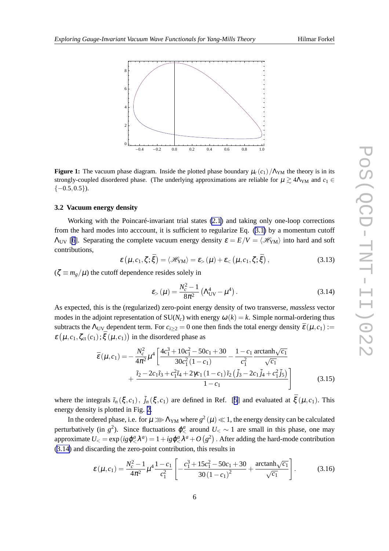<span id="page-5-0"></span>

**Figure 1:** The vacuum phase diagram. Inside the plotted phase boundary  $\mu_c(c_1)/\Lambda_{YM}$  the theory is in its strongly-coupled disordered phase. (The underlying approximations are reliable for  $\mu \gtrsim 4\Lambda_{YM}$  and  $c_1 \in$  $\{-0.5, 0.5\}$ ).

# **3.2 Vacuum energy density**

Working with the Poincaré-invariant trial states [\(2.1](#page-1-0)) and taking only one-loop corrections from the hard modes into acccount, it is sufficient to regularize Eq. [\(3.1\)](#page-3-0) by a momentum cutoff  $Λ_{UV}$  [[6](#page-12-0)]. Separating the complete vacuum energy density  $\varepsilon = E/V = \langle \mathcal{H}_{YM} \rangle$  into hard and soft contributions,

$$
\varepsilon(\mu, c_1, \zeta; \bar{\xi}) = \langle \mathcal{H}_{\text{YM}} \rangle = \varepsilon_{>}(\mu) + \varepsilon_{<}(\mu, c_1, \zeta; \bar{\xi}), \qquad (3.13)
$$

 $(\zeta \equiv m_g/\mu)$  the cutoff dependence resides solely in

$$
\varepsilon_{>}(\mu) = \frac{N_c^2 - 1}{8\pi^2} \left( \Lambda_{\text{UV}}^4 - \mu^4 \right). \tag{3.14}
$$

As expected, this is the (regularized) zero-point energy density of two transverse, *massless* vector modes in the adjoint representation of  $SU(N_c)$  with energy  $\omega(k) = k$ . Simple normal-ordering thus subtracts the  $\Lambda_{UV}$  dependent term. For  $c_{i\geq 2} = 0$  one then finds the total energy density  $\bar{\varepsilon}(\mu, c_1) :=$  $\varepsilon (\mu, c_1, \zeta_{ct}(c_1); \bar{\xi} (\mu, c_1))$  in the disordered phase as

$$
\bar{\varepsilon}(\mu, c_1) = -\frac{N_c^2}{4\pi^2} \mu^4 \left[ \frac{4c_1^3 + 10c_1^2 - 50c_1 + 30}{30c_1^2 (1 - c_1)} - \frac{1 - c_1}{c_1^2} \frac{\arctanh\sqrt{c_1}}{\sqrt{c_1}} + \frac{\tilde{r}_2 - 2c_1\tilde{r}_3 + c_1^2\tilde{r}_4 + 2\gamma c_1 (1 - c_1)\tilde{r}_2 (\tilde{j}_3 - 2c_1\tilde{j}_4 + c_1^2\tilde{j}_5)}{1 - c_1} \right]
$$
(3.15)

where the integrals  $\tilde{i}_n(\xi, c_1)$ ,  $\tilde{j}_n(\xi, c_1)$  are defined in Ref. [[5](#page-12-0)] and evaluated at  $\bar{\xi}(\mu, c_1)$ . This energy density is plotted in Fig. [2](#page-6-0).

In the ordered phase, i.e. for  $\mu \ggg \Lambda_{\text{YM}}$  where  $g^2(\mu) \ll 1$ , the energy density can be calculated perturbatively (in  $g^2$ ). Since fluctuations  $\varphi^a_<$  around  $U_< \sim 1$  are small in this phase, one may approximate  $U_<=\exp(ig\phi_<^a\lambda^a)=1+ig\phi_<^a\lambda^a+O\left(g^2\right)$  . After adding the hard-mode contribution (3.14) and discarding the zero-point contribution, this results in

$$
\varepsilon(\mu, c_1) = \frac{N_c^2 - 1}{4\pi^2} \mu^4 \frac{1 - c_1}{c_1^2} \left[ -\frac{c_1^3 + 15c_1^2 - 50c_1 + 30}{30(1 - c_1)^2} + \frac{\arctanh\sqrt{c_1}}{\sqrt{c_1}} \right].
$$
 (3.16)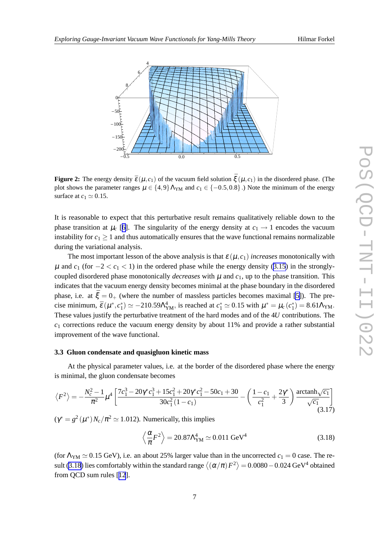<span id="page-6-0"></span>

**Figure 2:** The energy density  $\bar{\varepsilon}(\mu, c_1)$  of the vacuum field solution  $\bar{\xi}(\mu, c_1)$  in the disordered phase. (The plot shows the parameter ranges  $\mu \in \{4,9\} \Lambda_{YM}$  and  $c_1 \in \{-0.5,0.8\}$ .) Note the minimum of the energy surface at  $c_1 \simeq 0.15$ .

It is reasonable to expect that this perturbative result remains qualitatively reliable down to the phase transition at  $\mu_c$  [[6](#page-12-0)]. The singularity of the energy density at  $c_1 \rightarrow 1$  encodes the vacuum instability for  $c_1 \geq 1$  and thus automatically ensures that the wave functional remains normalizable during the variational analysis.

The most important lesson of the above analysis is that  $\varepsilon(\mu, c_1)$  *increases* monotonically with  $\mu$  and  $c_1$  (for  $-2 < c_1 < 1$ ) in the ordered phase while the energy density [\(3.15](#page-5-0)) in the stronglycoupled disordered phase monotonically *decreases* with  $\mu$  and  $c_1$ , up to the phase transition. This indicates that the vacuum energy density becomes minimal at the phase boundary in the disordered phase, i.e. at  $\bar{\xi} = 0_+$  (where the number of massless particles becomes maximal [\[5\]](#page-12-0)). The precise minimum,  $\bar{\varepsilon}(\mu^*, c_1^*) \simeq -210.59 \Lambda_{YM}^4$ , is reached at  $c_1^* \simeq 0.15$  with  $\mu^* = \mu_c(c_1^*) = 8.61 \Lambda_{YM}$ . These values justify the perturbative treatment of the hard modes and of the 4*U* contributions. The  $c_1$  corrections reduce the vacuum energy density by about 11% and provide a rather substantial improvement of the wave functional.

#### **3.3 Gluon condensate and quasigluon kinetic mass**

At the physical parameter values, i.e. at the border of the disordered phase where the energy is minimal, the gluon condensate becomes

$$
\langle F^2 \rangle = -\frac{N_c^2 - 1}{\pi^2} \mu^4 \left[ \frac{7c_1^3 - 20\gamma^* c_1^3 + 15c_1^2 + 20\gamma^* c_1^2 - 50c_1 + 30}{30c_1^2 (1 - c_1)} - \left( \frac{1 - c_1}{c_1^2} + \frac{2\gamma^*}{3} \right) \frac{\arctanh\sqrt{c_1}}{\sqrt{c_1}} \right]
$$
(3.17)

 $(\gamma^* = g^2(\mu^*)N_c/\pi^2 \simeq 1.012)$ . Numerically, this implies

$$
\left\langle \frac{\alpha}{\pi} F^2 \right\rangle = 20.87 \Lambda_{\text{YM}}^4 \simeq 0.011 \text{ GeV}^4 \tag{3.18}
$$

(for  $\Lambda_{YM} \simeq 0.15$  GeV), i.e. an about 25% larger value than in the uncorrected  $c_1 = 0$  case. The result (3.18) lies comfortably within the standard range  $\left<(\alpha/\pi)F^2\right>=0.0080-0.024$  GeV<sup>4</sup> obtained from QCD sum rules [[12](#page-12-0)].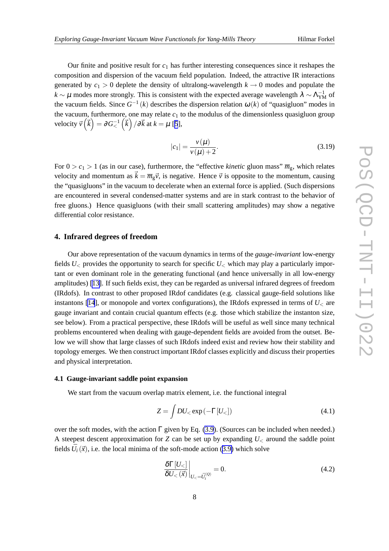<span id="page-7-0"></span>Our finite and positive result for  $c_1$  has further interesting consequences since it reshapes the composition and dispersion of the vacuum field population. Indeed, the attractive IR interactions generated by  $c_1 > 0$  deplete the density of ultralong-wavelength  $k \to 0$  modes and populate the  $k \sim \mu$  modes more strongly. This is consistent with the expected average wavelength  $\lambda \sim \Lambda_{YM}^{-1}$  of the vacuum fields. Since  $G^{-1}(k)$  describes the dispersion relation  $\omega(k)$  of "quasigluon" modes in the vacuum, furthermore, one may relate  $c_1$  to the modulus of the dimensionless quasigluon group velocity  $\vec{v} \left( \vec{k} \right) = \partial G_{<}^{-1} \left( \vec{k} \right) / \partial \vec{k}$  at  $k = \mu$  [[5](#page-12-0)],

$$
|c_1| = \frac{v(\mu)}{v(\mu) + 2}.
$$
 (3.19)

For  $0 > c_1 > 1$  (as in our case), furthermore, the "effective *kinetic* gluon mass"  $\overline{m}_g$ , which relates velocity and momentum as  $\vec{k} = \overline{m}_g \vec{v}$ , is negative. Hence  $\vec{v}$  is opposite to the momentum, causing the "quasigluons" in the vacuum to decelerate when an external force is applied. (Such dispersions are encountered in several condensed-matter systems and are in stark contrast to the behavior of free gluons.) Hence quasigluons (with their small scattering amplitudes) may show a negative differential color resistance.

### **4. Infrared degrees of freedom**

Our above representation of the vacuum dynamics in terms of the *gauge-invariant* low-energy fields *U*<sup>&</sup>lt; provides the opportunity to search for specific *U*<sup>&</sup>lt; which may play a particularly important or even dominant role in the generating functional (and hence universally in all low-energy amplitudes) [[13\]](#page-12-0). If such fields exist, they can be regarded as universal infrared degrees of freedom (IRdofs). In contrast to other proposed IRdof candidates (e.g. classical gauge-field solutions like instantons [\[14](#page-12-0)], or monopole and vortex configurations), the IRdofs expressed in terms of  $U_{\leq}$  are gauge invariant and contain crucial quantum effects (e.g. those which stabilize the instanton size, see below). From a practical perspective, these IRdofs will be useful as well since many technical problems encountered when dealing with gauge-dependent fields are avoided from the outset. Below we will show that large classes of such IRdofs indeed exist and review how their stability and topology emerges. We then construct important IRdof classes explicitly and discuss their properties and physical interpretation.

### **4.1 Gauge-invariant saddle point expansion**

We start from the vacuum overlap matrix element, i.e. the functional integral

$$
Z = \int DU_{<} \exp\left(-\Gamma[U_{<}]\right) \tag{4.1}
$$

over the soft modes, with the action  $\Gamma$  given by Eq. [\(3.9](#page-4-0)). (Sources can be included when needed.) A steepest descent approximation for *Z* can be set up by expanding *U*<sup>&</sup>lt; around the saddle point fields  $\bar{U}_i(\vec{x})$ , i.e. the local minima of the soft-mode action [\(3.9\)](#page-4-0) which solve

$$
\left. \frac{\delta \Gamma[U_{<}] }{\delta U_{<} (\vec{x})} \right|_{U_{<} = \bar{U}_i^{(Q)}} = 0. \tag{4.2}
$$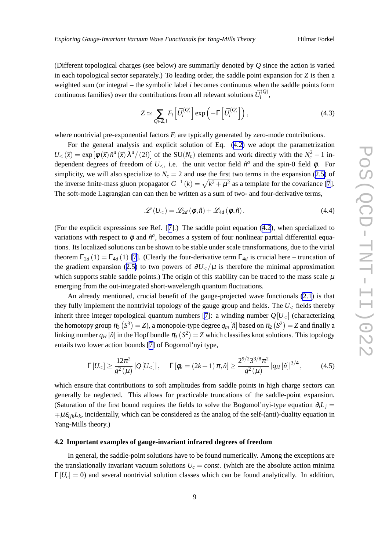(Different topological charges (see below) are summarily denoted by *Q* since the action is varied in each topological sector separately.) To leading order, the saddle point expansion for *Z* is then a weighted sum (or integral – the symbolic label *i* becomes continuous when the saddle points form continuous families) over the contributions from all relevant solutions  $\bar{U}_i^{(Q)}$  $i^{(Q)}$ ,

$$
Z \simeq \sum_{Q \in Z, i} F_i \left[ \bar{U}_i^{(Q)} \right] \exp \left( -\Gamma \left[ \bar{U}_i^{(Q)} \right] \right), \tag{4.3}
$$

where nontrivial pre-exponential factors  $F_i$  are typically generated by zero-mode contributions.

For the general analysis and explicit solution of Eq. [\(4.2\)](#page-7-0) we adopt the parametrization  $U<sub>lt</sub>(\vec{x}) = \exp[\phi(\vec{x})\hat{n}^a(\vec{x})\lambda^a/(2i)]$  of the SU(*N<sub>c</sub>*) elements and work directly with the  $N_c^2 - 1$  independent degrees of freedom of  $U<sub><</sub>$ , i.e. the unit vector field  $\hat{n}^a$  and the spin-0 field  $\phi$ . For simplicity, we will also specialize to  $N_c = 2$  and use the first two terms in the expansion [\(2.5\)](#page-2-0) of the inverse finite-mass gluon propagator  $G^{-1}(k) = \sqrt{k^2 + \mu^2}$  as a template for the covariance [\[7\]](#page-12-0). The soft-mode Lagrangian can can then be written as a sum of two- and four-derivative terms,

$$
\mathscr{L}\left(U_{<} \right) = \mathscr{L}_{2d}\left(\phi, \hat{n}\right) + \mathscr{L}_{4d}\left(\phi, \hat{n}\right). \tag{4.4}
$$

(For the explicit expressions see Ref. [\[7\]](#page-12-0).) The saddle point equation ([4.2](#page-7-0)), when specialized to variations with respect to  $\phi$  and  $\hat{n}^a$ , becomes a system of four nonlinear partial differential equations. Its localized solutions can be shown to be stable under scale transformations, due to the virial theorem  $\Gamma_{2d}(1) = \Gamma_{4d}(1)$  [\[7\]](#page-12-0). (Clearly the four-derivative term  $\Gamma_{4d}$  is crucial here – truncation of the gradient expansion [\(2.5\)](#page-2-0) to two powers of  $\partial U_ is therefore the minimal approximation$ which supports stable saddle points.) The origin of this stability can be traced to the mass scale  $\mu$ emerging from the out-integrated short-wavelength quantum fluctuations.

An already mentioned, crucial benefit of the gauge-projected wave functionals [\(2.1\)](#page-1-0) is that they fully implement the nontrivial topology of the gauge group and fields. The  $U_{\leq}$  fields thereby inherit three integer topological quantum numbers [[7](#page-12-0)]: a winding number  $Q[U_{<}]$  (characterizing the homotopy group  $\pi_3\,(S^3)=Z$ ), a monopole-type degree  $q_m[\hat n]$  based on  $\pi_2\,(S^2)=Z$  and finally a linking number  $q_H[\hat{n}]$  in the Hopf bundle  $\pi_3\left(S^2\right)=Z$  which classifies knot solutions. This topology entails two lower action bounds [\[7\]](#page-12-0) of Bogomol'nyi type,

$$
\Gamma[U_{<}] \ge \frac{12\pi^2}{g^2(\mu)} |Q[U_{<}]|, \quad \Gamma[\phi_k = (2k+1)\pi, \hat{n}] \ge \frac{2^{9/2}3^{3/8}\pi^2}{g^2(\mu)} |q_H[\hat{n}]|^{3/4}, \quad (4.5)
$$

which ensure that contributions to soft amplitudes from saddle points in high charge sectors can generally be neglected. This allows for practicable truncations of the saddle-point expansion. (Saturation of the first bound requires the fields to solve the Bogomol'nyi-type equation  $\partial_i L_i$  =  $\mp \mu \varepsilon_{ijk} L_k$ , incidentally, which can be considered as the analog of the self-(anti)-duality equation in Yang-Mills theory.)

# **4.2 Important examples of gauge-invariant infrared degrees of freedom**

In general, the saddle-point solutions have to be found numerically. Among the exceptions are the translationally invariant vacuum solutions  $U_c = const.$  (which are the absolute action minima  $\Gamma[U_c] = 0$ ) and several nontrivial solution classes which can be found analytically. In addition,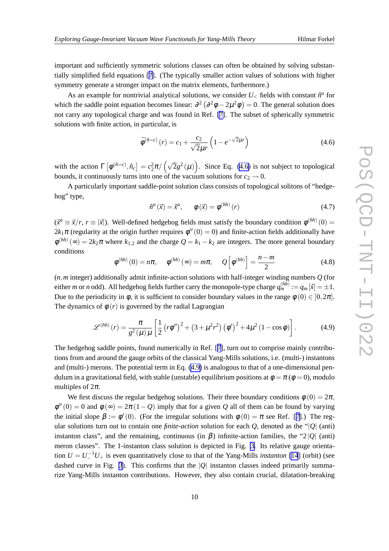important and sufficiently symmetric solutions classes can often be obtained by solving substantially simplified field equations [[7\]](#page-12-0). (The typically smaller action values of solutions with higher symmetry generate a stronger impact on the matrix elements, furthermore.)

As an example for nontrivial analytical solutions, we consider  $U<sub>lt</sub>$  fields with constant  $\hat{n}^a$  for which the saddle point equation becomes linear:  $\partial^2 (\partial^2 \phi - 2\mu^2 \phi) = 0$ . The general solution does not carry any topological charge and was found in Ref. [\[7\]](#page-12-0). The subset of spherically symmetric solutions with finite action, in particular, is

$$
\bar{\phi}^{(\hat{n}=c)}(r) = c_1 + \frac{c_2}{\sqrt{2}\mu r} \left( 1 - e^{-\sqrt{2}\mu r} \right)
$$
(4.6)

with the action  $\Gamma[\phi^{(\hat{n}=c)}, \hat{n}_c] = c_2^2 \pi / (\sqrt{2}g^2(\mu))$ . Since Eq. (4.6) is not subject to topological bounds, it continuously turns into one of the vacuum solutions for  $c_2 \rightarrow 0$ .

A particularly important saddle-point solution class consists of topological solitons of "hedgehog" type,

$$
\hat{n}^{a}(\vec{x}) = \hat{x}^{a}, \qquad \phi(\vec{x}) = \phi^{(hh)}(r) \tag{4.7}
$$

 $(x^a \equiv \vec{x}/r, r \equiv |\vec{x}|)$ . Well-defined hedgehog fields must satisfy the boundary condition  $\phi^{(hh)}(0) =$  $2k_1\pi$  (regularity at the origin further requires  $\phi''(0) = 0$ ) and finite-action fields additionally have  $\phi^{(hh)}(\infty) = 2k_2\pi$  where  $k_{1,2}$  and the charge  $Q = k_1 - k_2$  are integers. The more general boundary conditions

$$
\phi^{(hh)}(0) = n\pi, \quad \phi^{(hh)}(\infty) = m\pi, \quad Q\left[\phi^{(hh)}\right] = \frac{n-m}{2} \tag{4.8}
$$

(*n*,*m* integer) additionally admit infinite-action solutions with half-integer winding numbers *Q* (for either *m* or *n* odd). All hedgehog fields further carry the monopole-type charge  $q_m^{(hh)} := q_m [\hat{x}] = \pm 1$ . Due to the periodicity in  $\phi$ , it is sufficient to consider boundary values in the range  $\phi(0) \in [0, 2\pi]$ . The dynamics of  $\phi(r)$  is governed by the radial Lagrangian

$$
\mathscr{L}^{(hh)}(r) = \frac{\pi}{g^2(\mu)\mu} \left[ \frac{1}{2} \left( r\phi'' \right)^2 + \left( 3 + \mu^2 r^2 \right) \left( \phi' \right)^2 + 4\mu^2 \left( 1 - \cos \phi \right) \right]. \tag{4.9}
$$

The hedgehog saddle points, found numerically in Ref. [[7\]](#page-12-0), turn out to comprise mainly contributions from and around the gauge orbits of the classical Yang-Mills solutions, i.e. (multi-) instantons and (multi-) merons. The potential term in Eq. (4.9) is analogous to that of a one-dimensional pendulum in a gravitational field, with stable (unstable) equilibrium positions at  $\phi = \pi$  ( $\phi = 0$ ), modulo multiples of  $2\pi$ .

We first discuss the regular hedgehog solutions. Their three boundary conditions  $\phi(0) = 2\pi$ ,  $\phi''(0) = 0$  and  $\phi(\infty) = 2\pi(1 - Q)$  imply that for a given *Q* all of them can be found by varying the initial slope  $\beta := \phi'(0)$ . (For the irregular solutions with  $\phi(0) = \pi$  see Ref. [[7](#page-12-0)].) The regular solutions turn out to contain one *finite-action* solution for each *Q*, denoted as the "|*Q*| (anti) instanton class", and the remaining, continuous (in  $\beta$ ) infinite-action families, the "2|*Q*| (anti) meron classes". The 1-instanton class solution is depicted in Fig. [3.](#page-10-0) Its relative gauge orientation  $U = U_+^{-1}U_+$  is even quantitatively close to that of the Yang-Mills *instanton* [\[14](#page-12-0)] (orbit) (see dashed curve in Fig. [3](#page-10-0)). This confirms that the  $|Q|$  instanton classes indeed primarily summarize Yang-Mills instanton contributions. However, they also contain crucial, dilatation-breaking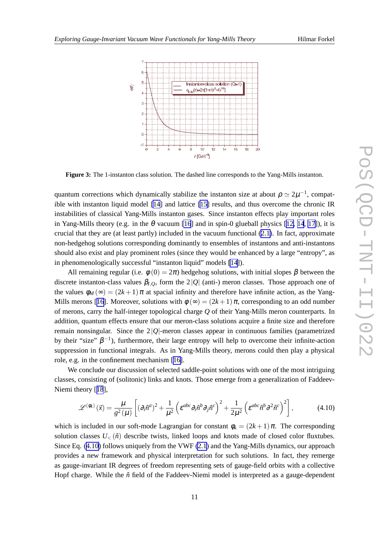<span id="page-10-0"></span>

**Figure 3:** The 1-instanton class solution. The dashed line corresponds to the Yang-Mills instanton.

quantum corrections which dynamically stabilize the instanton size at about  $\rho \simeq 2\mu^{-1}$ , compatible with instanton liquid model [\[14](#page-12-0)] and lattice [\[15\]](#page-12-0) results, and thus overcome the chronic IR instabilities of classical Yang-Mills instanton gases. Since instanton effects play important roles in Yang-Mills theory (e.g. in the  $\theta$  vacuum [\[16](#page-12-0)] and in spin-0 glueball physics [[12, 14](#page-12-0), [17](#page-12-0)]), it is crucial that they are (at least partly) included in the vacuum functional [\(2.1\)](#page-1-0). In fact, approximate non-hedgehog solutions corresponding dominantly to ensembles of instantons and anti-instantons should also exist and play prominent roles (since they would be enhanced by a large "entropy", as in phenomenologically successful "instanton liquid" models [\[14](#page-12-0)]).

All remaining regular (i.e.  $\phi(0) = 2\pi$ ) hedgehog solutions, with initial slopes  $\beta$  between the discrete instanton-class values  $\beta_{I,O}$ , form the 2|*Q*| (anti-) meron classes. Those approach one of the values  $\phi_M(\infty) = (2k+1)\pi$  at spacial infinity and therefore have infinite action, as the Yang-Mills merons [[16\]](#page-12-0). Moreover, solutions with  $\phi(\infty) = (2k+1)\pi$ , corresponding to an odd number of merons, carry the half-integer topological charge *Q* of their Yang-Mills meron counterparts. In addition, quantum effects ensure that our meron-class solutions acquire a finite size and therefore remain nonsingular. Since the  $2|Q|$ -meron classes appear in continuous families (parametrized by their "size"  $\beta^{-1}$ ), furthermore, their large entropy will help to overcome their infinite-action suppression in functional integrals. As in Yang-Mills theory, merons could then play a physical role, e.g. in the confinement mechanism [[16\]](#page-12-0).

We conclude our discussion of selected saddle-point solutions with one of the most intriguing classes, consisting of (solitonic) links and knots. Those emerge from a generalization of Faddeev-Niemi theory [[18](#page-12-0)],

$$
\mathscr{L}^{(\phi_k)}(\vec{x}) = \frac{\mu}{g^2(\mu)} \left[ (\partial_i \hat{n}^a)^2 + \frac{1}{\mu^2} \left( \varepsilon^{abc} \partial_i \hat{n}^b \partial_j \hat{n}^c \right)^2 + \frac{1}{2\mu^2} \left( \varepsilon^{abc} \hat{n}^b \partial^2 \hat{n}^c \right)^2 \right],\tag{4.10}
$$

which is included in our soft-mode Lagrangian for constant  $\phi_k = (2k+1)\pi$ . The corresponding solution classes  $U<sub><</sub>(\hat{n})$  describe twists, linked loops and knots made of closed color fluxtubes. Since Eq. (4.10) follows uniquely from the VWF [\(2.1](#page-1-0)) and the Yang-Mills dynamics, our approach provides a new framework and physical interpretation for such solutions. In fact, they remerge as gauge-invariant IR degrees of freedom representing sets of gauge-field orbits with a collective Hopf charge. While the  $\hat{n}$  field of the Faddeev-Niemi model is interpreted as a gauge-dependent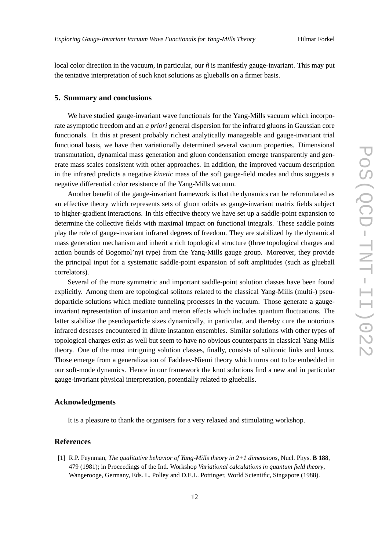<span id="page-11-0"></span>local color direction in the vacuum, in particular, our  $\hat{n}$  is manifestly gauge-invariant. This may put the tentative interpretation of such knot solutions as glueballs on a firmer basis.

# **5. Summary and conclusions**

We have studied gauge-invariant wave functionals for the Yang-Mills vacuum which incorporate asymptotic freedom and an *a priori* general dispersion for the infrared gluons in Gaussian core functionals. In this at present probably richest analytically manageable and gauge-invariant trial functional basis, we have then variationally determined several vacuum properties. Dimensional transmutation, dynamical mass generation and gluon condensation emerge transparently and generate mass scales consistent with other approaches. In addition, the improved vacuum description in the infrared predicts a negative *kinetic* mass of the soft gauge-field modes and thus suggests a negative differential color resistance of the Yang-Mills vacuum.

Another benefit of the gauge-invariant framework is that the dynamics can be reformulated as an effective theory which represents sets of gluon orbits as gauge-invariant matrix fields subject to higher-gradient interactions. In this effective theory we have set up a saddle-point expansion to determine the collective fields with maximal impact on functional integrals. These saddle points play the role of gauge-invariant infrared degrees of freedom. They are stabilized by the dynamical mass generation mechanism and inherit a rich topological structure (three topological charges and action bounds of Bogomol'nyi type) from the Yang-Mills gauge group. Moreover, they provide the principal input for a systematic saddle-point expansion of soft amplitudes (such as glueball correlators).

Several of the more symmetric and important saddle-point solution classes have been found explicitly. Among them are topological solitons related to the classical Yang-Mills (multi-) pseudoparticle solutions which mediate tunneling processes in the vacuum. Those generate a gaugeinvariant representation of instanton and meron effects which includes quantum fluctuations. The latter stabilize the pseudoparticle sizes dynamically, in particular, and thereby cure the notorious infrared deseases encountered in dilute instanton ensembles. Similar solutions with other types of topological charges exist as well but seem to have no obvious counterparts in classical Yang-Mills theory. One of the most intriguing solution classes, finally, consists of solitonic links and knots. Those emerge from a generalization of Faddeev-Niemi theory which turns out to be embedded in our soft-mode dynamics. Hence in our framework the knot solutions find a new and in particular gauge-invariant physical interpretation, potentially related to glueballs.

# **Acknowledgments**

It is a pleasure to thank the organisers for a very relaxed and stimulating workshop.

# **References**

[1] R.P. Feynman, *The qualitative behavior of Yang-Mills theory in 2+1 dimensions,* Nucl. Phys. **B 188**, 479 (1981); in Proceedings of the Intl. Workshop *Variational calculations in quantum field theory*, Wangerooge, Germany, Eds. L. Polley and D.E.L. Pottinger, World Scientific, Singapore (1988).